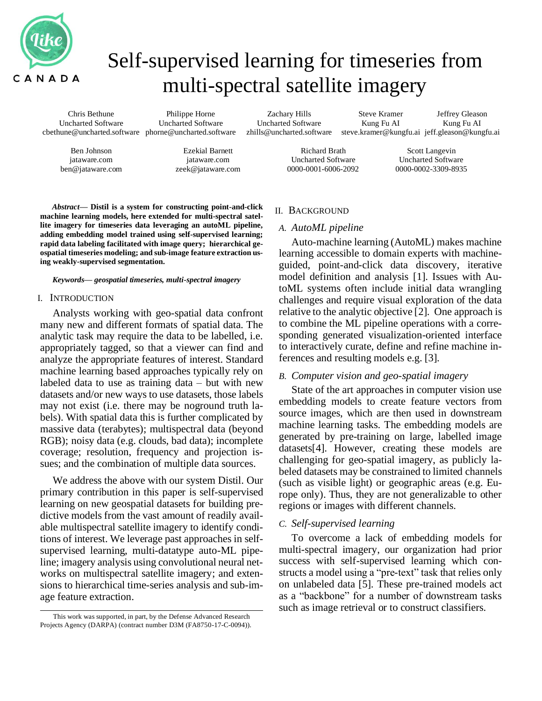

# Self-supervised learning for timeseries from multi-spectral satellite imagery

Chris Bethune Uncharted Software cbethune@uncharted.software phorne@uncharted.software Philippe Horne Uncharted Software

Zachary Hills Uncharted Software zhills@uncharted.software

Steve Kramer Kung Fu AI Jeffrey Gleason

steve.kramer@kungfu.ai jeff.gleason@kungfu.ai Kung Fu AI

Richard Brath Uncharted Software 0000-0001-6006-2092

Scott Langevin Uncharted Software 0000-0002-3309-8935

*Abstract***— Distil is a system for constructing point-and-click machine learning models, here extended for multi-spectral satellite imagery for timeseries data leveraging an autoML pipeline, adding embedding model trained using self-supervised learning; rapid data labeling facilitated with image query; hierarchical geospatial timeseries modeling; and sub-image feature extraction using weakly-supervised segmentation.**

Ezekial Barnett jataware.com zeek@jataware.com

#### *Keywords— geospatial timeseries, multi-spectral imagery*

#### I. INTRODUCTION

Ben Johnson jataware.com ben@jataware.com

Analysts working with geo-spatial data confront many new and different formats of spatial data. The analytic task may require the data to be labelled, i.e. appropriately tagged, so that a viewer can find and analyze the appropriate features of interest. Standard machine learning based approaches typically rely on labeled data to use as training data – but with new datasets and/or new ways to use datasets, those labels may not exist (i.e. there may be noground truth labels). With spatial data this is further complicated by massive data (terabytes); multispectral data (beyond RGB); noisy data (e.g. clouds, bad data); incomplete coverage; resolution, frequency and projection issues; and the combination of multiple data sources.

We address the above with our system Distil. Our primary contribution in this paper is self-supervised learning on new geospatial datasets for building predictive models from the vast amount of readily available multispectral satellite imagery to identify conditions of interest. We leverage past approaches in selfsupervised learning, multi-datatype auto-ML pipeline; imagery analysis using convolutional neural networks on multispectral satellite imagery; and extensions to hierarchical time-series analysis and sub-image feature extraction.

#### II. BACKGROUND

#### *A. AutoML pipeline*

Auto-machine learning (AutoML) makes machine learning accessible to domain experts with machineguided, point-and-click data discovery, iterative model definition and analysis [1]. Issues with AutoML systems often include initial data wrangling challenges and require visual exploration of the data relative to the analytic objective [2]. One approach is to combine the ML pipeline operations with a corresponding generated visualization-oriented interface to interactively curate, define and refine machine inferences and resulting models e.g. [3].

#### *B. Computer vision and geo-spatial imagery*

State of the art approaches in computer vision use embedding models to create feature vectors from source images, which are then used in downstream machine learning tasks. The embedding models are generated by pre-training on large, labelled image datasets[4]. However, creating these models are challenging for geo-spatial imagery, as publicly labeled datasets may be constrained to limited channels (such as visible light) or geographic areas (e.g. Europe only). Thus, they are not generalizable to other regions or images with different channels.

### *C. Self-supervised learning*

To overcome a lack of embedding models for multi-spectral imagery, our organization had prior success with self-supervised learning which constructs a model using a "pre-text" task that relies only on unlabeled data [5]. These pre-trained models act as a "backbone" for a number of downstream tasks such as image retrieval or to construct classifiers.

This work was supported, in part, by the Defense Advanced Research Projects Agency (DARPA) (contract number D3M (FA8750-17-C-0094)).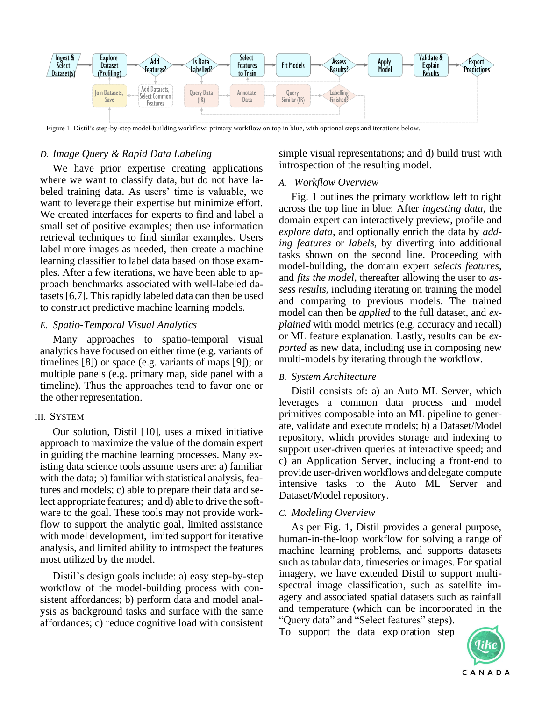

Figure 1: Distil's step-by-step model-building workflow: primary workflow on top in blue, with optional steps and iterations below.

# *D. Image Query & Rapid Data Labeling*

We have prior expertise creating applications where we want to classify data, but do not have labeled training data. As users' time is valuable, we want to leverage their expertise but minimize effort. We created interfaces for experts to find and label a small set of positive examples; then use information retrieval techniques to find similar examples. Users label more images as needed, then create a machine learning classifier to label data based on those examples. After a few iterations, we have been able to approach benchmarks associated with well-labeled datasets [6,7]. Thisrapidly labeled data can then be used to construct predictive machine learning models.

# *E. Spatio-Temporal Visual Analytics*

Many approaches to spatio-temporal visual analytics have focused on either time (e.g. variants of timelines [8]) or space (e.g. variants of maps [9]); or multiple panels (e.g. primary map, side panel with a timeline). Thus the approaches tend to favor one or the other representation.

## III. SYSTEM

Our solution, Distil [10], uses a mixed initiative approach to maximize the value of the domain expert in guiding the machine learning processes. Many existing data science tools assume users are: a) familiar with the data; b) familiar with statistical analysis, features and models; c) able to prepare their data and select appropriate features; and d) able to drive the software to the goal. These tools may not provide workflow to support the analytic goal, limited assistance with model development, limited support for iterative analysis, and limited ability to introspect the features most utilized by the model.

Distil's design goals include: a) easy step-by-step workflow of the model-building process with consistent affordances; b) perform data and model analysis as background tasks and surface with the same affordances; c) reduce cognitive load with consistent simple visual representations; and d) build trust with introspection of the resulting model.

## *A. Workflow Overview*

Fig. 1 outlines the primary workflow left to right across the top line in blue: After *ingesting data*, the domain expert can interactively preview, profile and *explore data*, and optionally enrich the data by *adding features* or *labels*, by diverting into additional tasks shown on the second line. Proceeding with model-building, the domain expert *selects features*, and *fits the model*, thereafter allowing the user to *assess results,* including iterating on training the model and comparing to previous models. The trained model can then be *applied* to the full dataset, and *explained* with model metrics (e.g. accuracy and recall) or ML feature explanation. Lastly, results can be *exported* as new data, including use in composing new multi-models by iterating through the workflow.

# *B. System Architecture*

Distil consists of: a) an Auto ML Server, which leverages a common data process and model primitives composable into an ML pipeline to generate, validate and execute models; b) a Dataset/Model repository, which provides storage and indexing to support user-driven queries at interactive speed; and c) an Application Server, including a front-end to provide user-driven workflows and delegate compute intensive tasks to the Auto ML Server and Dataset/Model repository.

## *C. Modeling Overview*

As per Fig. 1, Distil provides a general purpose, human-in-the-loop workflow for solving a range of machine learning problems, and supports datasets such as tabular data, timeseries or images. For spatial imagery, we have extended Distil to support multispectral image classification, such as satellite imagery and associated spatial datasets such as rainfall and temperature (which can be incorporated in the "Query data" and "Select features" steps).

To support the data exploration step

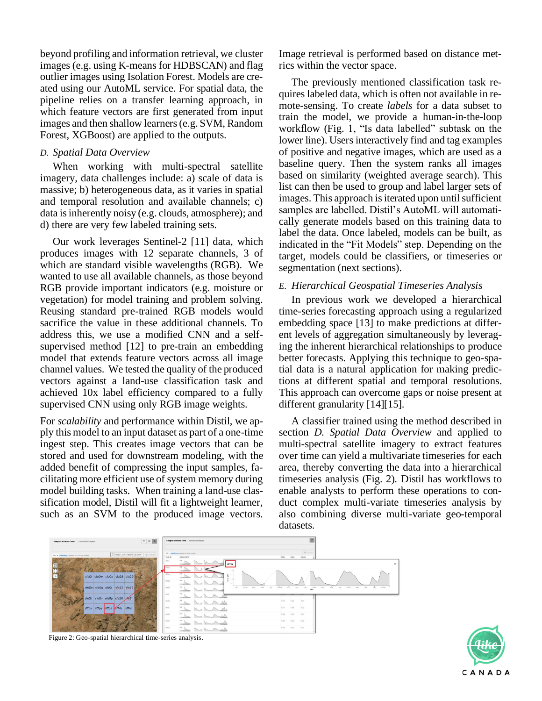beyond profiling and information retrieval, we cluster images (e.g. using K-means for HDBSCAN) and flag outlier images using Isolation Forest. Models are created using our AutoML service. For spatial data, the pipeline relies on a transfer learning approach, in which feature vectors are first generated from input images and then shallow learners (e.g. SVM, Random Forest, XGBoost) are applied to the outputs.

# *D. Spatial Data Overview*

When working with multi-spectral satellite imagery, data challenges include: a) scale of data is massive; b) heterogeneous data, as it varies in spatial and temporal resolution and available channels; c) data is inherently noisy (e.g. clouds, atmosphere); and d) there are very few labeled training sets.

Our work leverages Sentinel-2 [11] data, which produces images with 12 separate channels, 3 of which are standard visible wavelengths (RGB). We wanted to use all available channels, as those beyond RGB provide important indicators (e.g. moisture or vegetation) for model training and problem solving. Reusing standard pre-trained RGB models would sacrifice the value in these additional channels. To address this, we use a modified CNN and a selfsupervised method [12] to pre-train an embedding model that extends feature vectors across all image channel values. We tested the quality of the produced vectors against a land-use classification task and achieved 10x label efficiency compared to a fully supervised CNN using only RGB image weights.

For *scalability* and performance within Distil, we apply this model to an input dataset as part of a one-time ingest step. This creates image vectors that can be stored and used for downstream modeling, with the added benefit of compressing the input samples, facilitating more efficient use of system memory during model building tasks. When training a land-use classification model, Distil will fit a lightweight learner, such as an SVM to the produced image vectors.

Image retrieval is performed based on distance metrics within the vector space.

The previously mentioned classification task requires labeled data, which is often not available in remote-sensing. To create *labels* for a data subset to train the model, we provide a human-in-the-loop workflow (Fig. 1, "Is data labelled" subtask on the lower line). Users interactively find and tag examples of positive and negative images, which are used as a baseline query. Then the system ranks all images based on similarity (weighted average search). This list can then be used to group and label larger sets of images. This approach is iterated upon until sufficient samples are labelled. Distil's AutoML will automatically generate models based on this training data to label the data. Once labeled, models can be built, as indicated in the "Fit Models" step. Depending on the target, models could be classifiers, or timeseries or segmentation (next sections).

## *E. Hierarchical Geospatial Timeseries Analysis*

In previous work we developed a hierarchical time-series forecasting approach using a regularized embedding space [13] to make predictions at different levels of aggregation simultaneously by leveraging the inherent hierarchical relationships to produce better forecasts. Applying this technique to geo-spatial data is a natural application for making predictions at different spatial and temporal resolutions. This approach can overcome gaps or noise present at different granularity [14][15].

A classifier trained using the method described in section *D. Spatial Data Overview* and applied to multi-spectral satellite imagery to extract features over time can yield a multivariate timeseries for each area, thereby converting the data into a hierarchical timeseries analysis (Fig. 2). Distil has workflows to enable analysts to perform these operations to conduct complex multi-variate timeseries analysis by also combining diverse multi-variate geo-temporal datasets.





Figure 2: Geo-spatial hierarchical time-series analysis.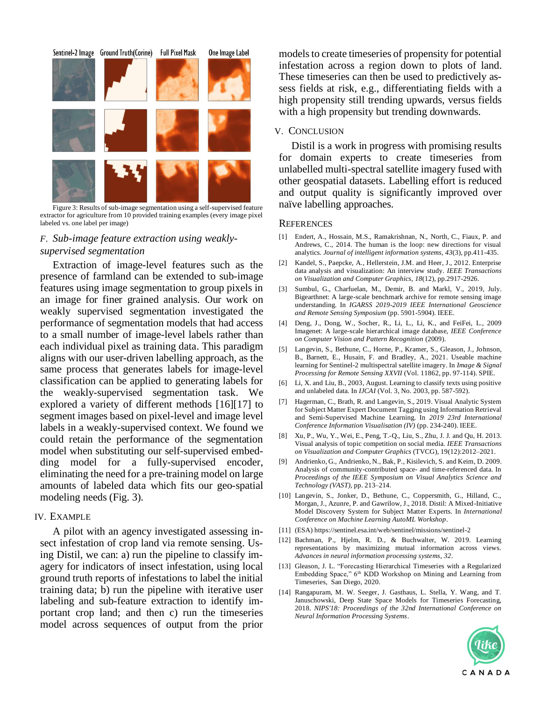

Figure 3: Results of sub-image segmentation using a self-supervised feature extractor for agriculture from 10 provided training examples (every image pixel labeled vs. one label per image)

# *F. Sub-image feature extraction using weaklysupervised segmentation*

Extraction of image-level features such as the presence of farmland can be extended to sub-image features using image segmentation to group pixels in an image for finer grained analysis. Our work on weakly supervised segmentation investigated the performance of segmentation models that had access to a small number of image-level labels rather than each individual pixel as training data. This paradigm aligns with our user-driven labelling approach, as the same process that generates labels for image-level classification can be applied to generating labels for the weakly-supervised segmentation task. We explored a variety of different methods [16][17] to segment images based on pixel-level and image level labels in a weakly-supervised context. We found we could retain the performance of the segmentation model when substituting our self-supervised embedding model for a fully-supervised encoder, eliminating the need for a pre-training model on large amounts of labeled data which fits our geo-spatial modeling needs (Fig. 3).

## IV. EXAMPLE

A pilot with an agency investigated assessing insect infestation of crop land via remote sensing. Using Distil, we can: a) run the pipeline to classify imagery for indicators of insect infestation, using local ground truth reports of infestations to label the initial training data; b) run the pipeline with iterative user labeling and sub-feature extraction to identify important crop land; and then c) run the timeseries model across sequences of output from the prior

models to create timeseries of propensity for potential infestation across a region down to plots of land. These timeseries can then be used to predictively assess fields at risk, e.g., differentiating fields with a high propensity still trending upwards, versus fields with a high propensity but trending downwards.

# V. CONCLUSION

Distil is a work in progress with promising results for domain experts to create timeseries from unlabelled multi-spectral satellite imagery fused with other geospatial datasets. Labelling effort is reduced and output quality is significantly improved over naïve labelling approaches.

#### **REFERENCES**

- [1] Endert, A., Hossain, M.S., Ramakrishnan, N., North, C., Fiaux, P. and Andrews, C., 2014. The human is the loop: new directions for visual analytics. *Journal of intelligent information systems*, *43*(3), pp.411-435.
- [2] Kandel, S., Paepcke, A., Hellerstein, J.M. and Heer, J., 2012. Enterprise data analysis and visualization: An interview study. *IEEE Transactions on Visualization and Computer Graphics*, *18*(12), pp.2917-2926.
- [3] Sumbul, G., Charfuelan, M., Demir, B. and Markl, V., 2019, July. Bigearthnet: A large-scale benchmark archive for remote sensing image understanding. In *IGARSS 2019-2019 IEEE International Geoscience and Remote Sensing Symposium* (pp. 5901-5904). IEEE.
- [4] Deng, J., Dong, W., Socher, R., Li, L., Li, K., and FeiFei, L., 2009 Imagenet: A large-scale hierarchical image database, *IEEE Conference on Computer Vision and Pattern Recognition* (2009).
- [5] Langevin, S., Bethune, C., Horne, P., Kramer, S., Gleason, J., Johnson, B., Barnett, E., Husain, F. and Bradley, A., 2021. Useable machine learning for Sentinel-2 multispectral satellite imagery. In *Image & Signal Processing for Remote Sensing XXVII* (Vol. 11862, pp. 97-114). SPIE.
- [6] Li, X. and Liu, B., 2003, August. Learning to classify texts using positive and unlabeled data. In *IJCAI* (Vol. 3, No. 2003, pp. 587-592).
- [7] Hagerman, C., Brath, R. and Langevin, S., 2019. Visual Analytic System for Subject Matter Expert Document Tagging using Information Retrieval and Semi-Supervised Machine Learning. In *2019 23rd International Conference Information Visualisation (IV)* (pp. 234-240). IEEE.
- [8] Xu, P., Wu, Y., Wei, E., Peng, T.-Q., Liu, S., Zhu, J. J. and Qu, H. 2013. Visual analysis of topic competition on social media. *IEEE Transactions on Visualization and Computer Graphics* (TVCG), 19(12):2012–2021.
- [9] Andrienko, G., Andrienko, N., Bak, P., Kisilevich, S. and Keim, D. 2009. Analysis of community-contributed space- and time-referenced data. In *Proceedings of the IEEE Symposium on Visual Analytics Science and Technology (VAST)*, pp. 213–214.
- [10] Langevin, S., Jonker, D., Bethune, C., Coppersmith, G., Hilland, C., Morgan, J., Azunre, P. and Gawrilow, J., 2018. Distil: A Mixed-Initiative Model Discovery System for Subject Matter Experts. In *International Conference on Machine Learning AutoML Workshop*.
- [11] (ESA) https://sentinel.esa.int/web/sentinel/missions/sentinel-2
- [12] Bachman, P., Hjelm, R. D., & Buchwalter, W. 2019. Learning representations by maximizing mutual information across views. *Advances in neural information processing systems*, *32*.
- [13] Gleason, J. L. "Forecasting Hierarchical Timeseries with a Regularized Embedding Space," 6th KDD Workshop on Mining and Learning from Timeseries, San Diego, 2020.
- [14] Rangapuram, M. W. Seeger, J. Gasthaus, L. Stella, Y. Wang, and T. Januschowski, Deep State Space Models for Timeseries Forecasting, 2018. *NIPS'18: Proceedings of the 32nd International Conference on Neural Information Processing Systems*.